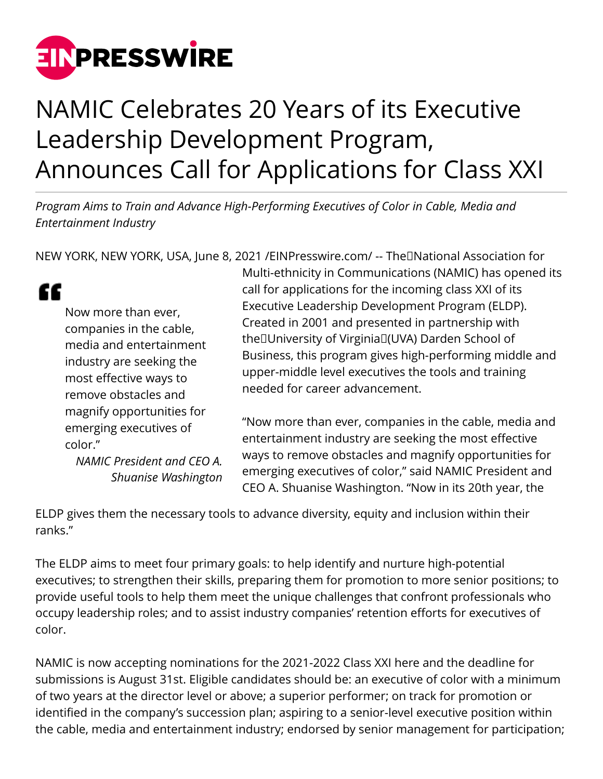

## NAMIC Celebrates 20 Years of its Executive Leadership Development Program, Announces Call for Applications for Class XXI

*Program Aims to Train and Advance High-Performing Executives of Color in Cable, Media and Entertainment Industry*

NEW YORK, NEW YORK, USA, June 8, 2021 /[EINPresswire.com/](http://www.einpresswire.com) -- The National Association for

" Now more than ever, companies in the cable, media and entertainment industry are seeking the most effective ways to remove obstacles and magnify opportunities for emerging executives of color."

> *NAMIC President and CEO A. Shuanise Washington*

Multi-ethnicity in Communications (NAMIC) has opened its call for applications for the incoming class XXI of its Executive Leadership Development Program (ELDP). Created in 2001 and presented in partnership with the University of Virginia (UVA) Darden School of Business, this program gives high-performing middle and upper-middle level executives the tools and training needed for career advancement.

"Now more than ever, companies in the cable, media and entertainment industry are seeking the most effective ways to remove obstacles and magnify opportunities for emerging executives of color," said NAMIC President and CEO A. Shuanise Washington. "Now in its 20th year, the

ELDP gives them the necessary tools to advance diversity, equity and inclusion within their ranks."

The ELDP aims to meet four primary goals: to help identify and nurture high-potential executives; to strengthen their skills, preparing them for promotion to more senior positions; to provide useful tools to help them meet the unique challenges that confront professionals who occupy leadership roles; and to assist industry companies' retention efforts for executives of color.

NAMIC is now accepting nominations for the 2021-2022 Class XXI here and the deadline for submissions is August 31st. Eligible candidates should be: an executive of color with a minimum of two years at the director level or above; a superior performer; on track for promotion or identified in the company's succession plan; aspiring to a senior-level executive position within the cable, media and entertainment industry; endorsed by senior management for participation;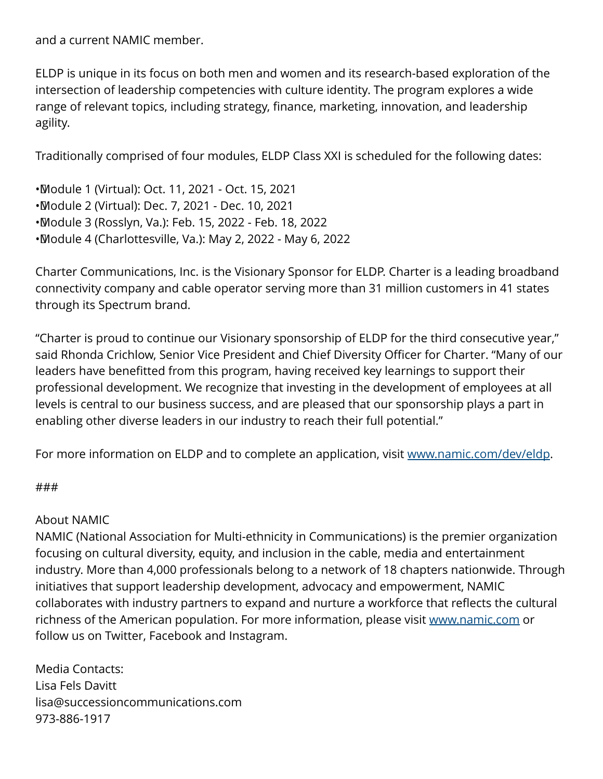and a current NAMIC member.

ELDP is unique in its focus on both men and women and its research-based exploration of the intersection of leadership competencies with culture identity. The program explores a wide range of relevant topics, including strategy, finance, marketing, innovation, and leadership agility.

Traditionally comprised of four modules, ELDP Class XXI is scheduled for the following dates:

• Module 1 (Virtual): Oct. 11, 2021 - Oct. 15, 2021 • Module 2 (Virtual): Dec. 7, 2021 - Dec. 10, 2021 • Module 3 (Rosslyn, Va.): Feb. 15, 2022 - Feb. 18, 2022 • Module 4 (Charlottesville, Va.): May 2, 2022 - May 6, 2022

Charter Communications, Inc. is the Visionary Sponsor for ELDP. Charter is a leading broadband connectivity company and cable operator serving more than 31 million customers in 41 states through its Spectrum brand.

"Charter is proud to continue our Visionary sponsorship of ELDP for the third consecutive year," said Rhonda Crichlow, Senior Vice President and Chief Diversity Officer for Charter. "Many of our leaders have benefitted from this program, having received key learnings to support their professional development. We recognize that investing in the development of employees at all levels is central to our business success, and are pleased that our sponsorship plays a part in enabling other diverse leaders in our industry to reach their full potential."

For more information on ELDP and to complete an application, visit [www.namic.com/dev/eldp.](http://www.namic.com/dev/eldp)

## ###

## About NAMIC

NAMIC (National Association for Multi-ethnicity in Communications) is the premier organization focusing on cultural diversity, equity, and inclusion in the cable, media and entertainment industry. More than 4,000 professionals belong to a network of 18 chapters nationwide. Through initiatives that support leadership development, advocacy and empowerment, NAMIC collaborates with industry partners to expand and nurture a workforce that reflects the cultural richness of the American population. For more information, please visit [www.namic.com](http://www.namic.com) or follow us on Twitter, Facebook and Instagram.

Media Contacts: Lisa Fels Davitt lisa@successioncommunications.com 973-886-1917